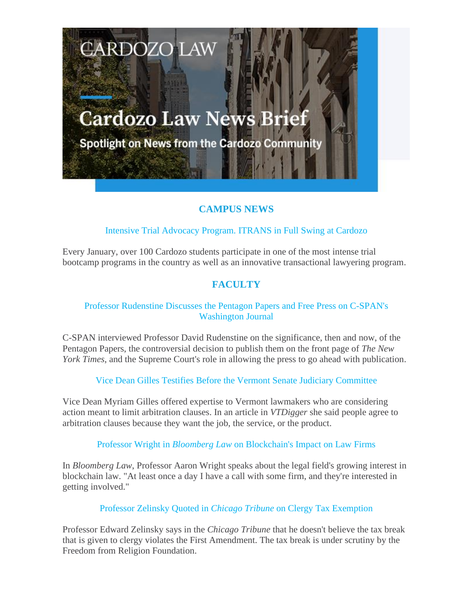# **Cardozo Law News Brief**

CARDOZO

Spotlight on News from the Cardozo Community

## **CAMPUS NEWS**

## Intensive Trial Advocacy Program. ITRANS in Full Swing at Cardozo

Every January, over 100 Cardozo students participate in one of the most intense trial bootcamp programs in the country as well as an innovative transactional lawyering program.

## **FACULTY**

## Professor Rudenstine Discusses the Pentagon Papers and Free Press on C-SPAN's Washington Journal

C-SPAN interviewed Professor David Rudenstine on the significance, then and now, of the Pentagon Papers, the controversial decision to publish them on the front page of *The New York Times*, and the Supreme Court's role in allowing the press to go ahead with publication.

Vice Dean Gilles Testifies Before the Vermont Senate Judiciary Committee

Vice Dean Myriam Gilles offered expertise to Vermont lawmakers who are considering action meant to limit arbitration clauses. In an article in *VTDigger* she said people agree to arbitration clauses because they want the job, the service, or the product.

Professor Wright in *Bloomberg Law* on Blockchain's Impact on Law Firms

In *Bloomberg Law*, Professor Aaron Wright speaks about the legal field's growing interest in blockchain law. "At least once a day I have a call with some firm, and they're interested in getting involved."

Professor Zelinsky Quoted in *Chicago Tribune* on Clergy Tax Exemption

Professor Edward Zelinsky says in the *Chicago Tribune* that he doesn't believe the tax break that is given to clergy violates the First Amendment. The tax break is under scrutiny by the Freedom from Religion Foundation.